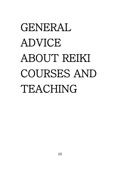# GENERAL ADVICE ABOUT REIKI COURSES AND TEACHING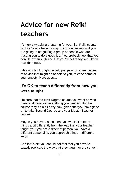# **Advice for new Reiki teachers**

It's nerve-wracking preparing for your first Reiki course, isn't it? You're taking a step into the unknown and you are going to be guiding a group of people who are trusting you to do a good job. You probably feel that you don't know enough and that you're not ready yet. I know how that feels.

I this article I thought I would just pass on a few pieces of advice that might be of help to you, to ease some of your anxiety. Here goes…

### **It's OK to teach differently from how you were taught**

I'm sure that the First Degree course you went on was great and gave you everything you needed. But the course may be a bit hazy now, given that you have gone on to take Second Degree and your Master Teacher course.

Maybe you have a sense that you would like to do things a bit differently from the way that your teacher taught you: you are a different person, you have a different personality, you approach things in different ways.

And that's ok: you should not feel that you have to exactly replicate the way that they taught or the content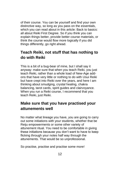of their course. You can be yourself and find your own distinctive way, so long as you pass on the essentials, which you can read about in this article: Back to basics: all about Reiki First Degree. So if you think you can explain things better, provide better course materials, or think the course would flow more logically if you did things differently, go right ahead.

### **Teach Reiki, not stuff that has nothing to do with Reiki**

This is a bit of a bug-bear of mine, but I shall say it anyway: make sure that when you teach Reiki, you just teach Reiki, rather than a whole load of New-Age addons that have very little or nothing to do with Usui Reiki but have crept into Reiki over the years, and here I am thinking about smudging, crystal healing, chakra balancing, tarot cards, spirit guides and clairvoyance. When you run a Reiki course, I recommend that you teach Reiki, just Reiki.

### **Make sure that you have practised your attunements well**

No matter what lineage you have, you are going to carry out some initiations with your students, whether that be Reiju empowerments or some other variety of attunement ritual. You need to be comfortable in giving these initiations because you don't want to have to keep flicking through your notes half way through the attunements. That would be so unprofessional.

So practise, practise and practise some more!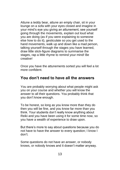Attune a teddy bear, attune an empty chair, sit in your lounge on a sofa with your eyes closed and imagine in your mind's eye you giving an attunement, see yourself going through the movements, explain out loud what you are doing (as if you were explaining to someone else how to do it), gesticulate so you get used to the hand movements, walk up and down like a mad person, talking yourself through the stages you have learned, draw little stick-figure diagrams to summarise the stages, rap a little rhyme to remind your mind! Be creative!

Once you have the attunements sorted you will feel a lot more confident.

#### **You don't need to have all the answers**

You are probably worrying about what people might ask you on your course and whether you will know the answer to all their questions. You probably think that you don't know enough.

To be honest, so long as you know more than they do then you will be fine, and you know far more than you think. Your students don't really know anything about Reiki and you have been using it for some time now, so you have a wealth of experience to draw upon.

But there's more to say about questions because you do not have to have the answer to every question; I know I don't.

Some questions do not have an answer, or nobody knows, or nobody knows and it doesn't matter anyway.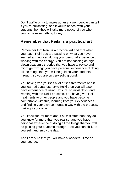Don't waffle or try to make up an answer: people can tell if you're bullshitting, and if you're honest with your students then they will take more notice of you when you do have something to say.

#### **Remember that Reiki is a practical art**

Remember that Reiki is a practical art and that when you teach Reiki you are passing on what you have learned and noticed during your personal experience of working with the energy. You are not passing on highblown academic theories that you have to revise and might get wrong: you have personal experience of doing all the things that you will be guiding your students through, so you are on very solid ground.

You have given yourself a lot of self-treatments and if you learned Japanese-style Reiki then you will also have experience of using Hatsurei ho most days, and working with the Reiki precepts. You have given Reiki treatments to other people and you have become comfortable with this, learning from your experiences and finding your own comfortable way with the process, making it your own.

You know far, far more about all this stuff than they do, you know far more than you realise, and you have personal experience of doing all the things that you will be guiding your students through… so you can chill, be yourself, and enjoy the day.

And I am sure that you will have a wonderful time on your course.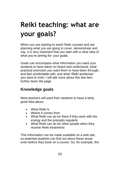# **Reiki teaching: what are your goals?**

When you are starting to teach Reiki courses and are planning what you are going to cover, demonstrate and say, it is very important that you start with a clear idea of what you're aiming for: your goals.

Goals can encompass what information you want your students to have taken on board and understood, what practical exercises you want them to have been through, and feel comfortable with, and what 'Reiki worldview' you want to instil. I will talk more about this last item further down the page.

### **Knowledge goals**

Most teachers will want their students to have a fairly good idea about:

- What Reiki is
- Where it comes from
- What Reiki can do for them if they work with the energy and the precepts regularly
- What Reiki can do for other people when they receive Reiki treatments

This information can be made available on a web site, so potential students can find out about these areas even before they book on a course. So, for example, the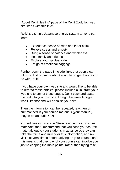"About Reiki Healing" page of the Reiki Evolution web site starts with this text:

Reiki is a simple Japanese energy system anyone can learn

- Experience peace of mind and inner calm
- Relieve stress and anxiety
- Bring a sense of balance and wholeness
- Help family and friends
- Explore your spiritual side
- Let go of emotional baggage

Further down the page I include links that people can follow to find out more about a whole range of issues to do with Reiki.

If you have your own web site and would like to be able to refer to these articles, please include a link from your web site to any of these pages. Don't copy and paste the text into your own site, though, because Google won't like that and will penalise your site.

Then the information can be repeated, rewritten or summarised in your course materials (your manual, maybe on an audio CD).

You will see in my article "Reiki teaching: your course materials" that I recommend that you send your course materials out to your students in advance so they can take their time and mull over this information, and revisit it several times before arriving on your course, and this means that they day of your course can involve you just re-capping the main points, rather than trying to tell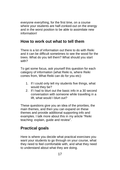everyone everything, for the first time, on a course where your students are half-zonked-out on the energy and in the worst position to be able to assimilate new information!

#### **How to work out what to tell them**

There is a lot of information out there to do with Reiki and it can be difficult sometimes to see the wood for the trees. What do you tell them? What should you start with?

To get some focus, ask yourself this question for each category of information (what Reiki is, where Reiki comes from, What Reiki can do for you etc):

- 1. If I could only tell my students five things, what would they be?
- 2. If I had to blurt out the basic info in a 30 second conversation with someone while travelling in a lift, what would I blurt out?

These questions give you an idea of the priorities, the main themes, and then you can expand on these themes and provide additional supporting info and examples. I talk more about this in my article "Reiki teaching: explain, guide and review".

### **Practical goals**

Here is where you decide what practical exercises you want your students to go through on your course, what they need to feel comfortable with, and what they need to understand about what they are doing.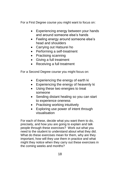For a First Degree course you might want to focus on:

- Experiencing energy between your hands and around someone else's hands
- Feeling energy around someone else's head and shoulders
- Carrying out Hatsurei ho
- Performing a self-treatment
- Practising scanning
- Giving a full treatment
- Receiving a full treatment

For a Second Degree course you might focus on:

- Experiencing the energy of earth ki
- Experiencing the energy of heavenly ki
- Using these two energies to treat someone
- Sending distant healing so you can start to experience oneness
- Practising working intuitively
- Exploring use power of intent through visualisation

For each of these, decide what you want them to do, precisely, and how you are going to explain and talk people through these exercises? Work out what you need to the student to understand about what they did. What do these exercises mean for them, why are they important, how will they use them in practice and what might they notice when they carry out these exercises in the coming weeks and months?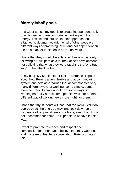#### **More 'global' goals**

In a wider sense, my goal is to create independent Reiki practitioners who are comfortable working with the energy, flexible and intuitive in their approach, not attached to dogma, not judgmental of other people's different ways of practising Reiki, and not dependent on me as a teacher to dispense all the answers.

I hope that they should be able to embrace uncertainty, following a Reiki path as a journey of self-development, not believing that what they were taught is the 'one true way' or the 'absolute truth'.

In my blog "My Manifesto for Reiki Tolerance" I spoke about how Reiki is a very flexible and accommodating system and acts as a 'carrier' that accommodates very many different ways of working, some simple, some more complex. I spoke about how some ways of working naturally attract some people, while for others a different way of working feels more 'right' for them.

I hope that my students will not treat the Reiki Evolution approach as 'the one true way' and look down on or disparage other practitioners' methods, even though it is not uncommon for some Reiki people to behave in this way.

I want to promote tolerance and respect and compassion for others and I believe that they way that I and my team of teachers speak about Reiki promotes this.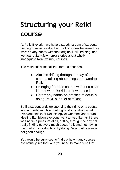# **Structuring your Reiki course**

At Reiki Evolution we have a steady stream of students coming to us to re-take their Reiki courses because they weren't very happy with their original Reiki training, and we hear quite a few horror stories about wholly inadequate Reiki training courses.

The main criticisms fall into three categories:

- Aimless drifting through the day of the course, talking about things unrelated to Reiki
- Emerging from the course without a clear idea of what Reiki is or how to use it
- Hardly any hands-on practice at actually doing Reiki, but a lot of talking

So if a student ends up spending their time on a course sipping herb tea while chatting randomly about what everyone thinks of Reflexology or what the last Natural Healing Exhibition everyone went to was like, as if there was no time pressure at all, drifting through the day not really finding out very much about Reiki and not having much of an opportunity to try doing Reiki, that course is not good enough.

You would be surprised to find out how many courses are actually like that, and you need to make sure that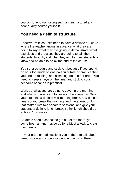you do not end up hosting such an unstructured and poor quality course yourself!

#### **You need a definite structure**

Effective Reiki courses need to have a definite structure, where the teacher knows in advance what they are going to say, what they are going to demonstrate, what exercises and practices they are going to talk their students through, and what they aim for their students to know and be able to do by the end of the course.

You set a schedule and stick to it because if you spend an hour too much on one particular task or practice then you end up rushing, and skimping, on another area. You need to keep an eye on the time, and stick to your schedule as far as is practical.

Work out what you are going to cover in the morning. and what you are going to cover in the afternoon. Give your students a definite mid-morning break, at a definite time, so you break the morning, and the afternoon for that matter, into two separate sessions, and give your students a definite lunch break; I think lunch should be at least 45 minutes.

Students need a chance to get out of the room, get some fresh air and maybe go for a bit of a walk to clear their heads

In your pre-planned sessions you're there to talk about, demonstrate and supervise people practising Reiki.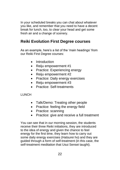In your scheduled breaks you can chat about whatever you like, and remember that you need to have a decent break for lunch, too, to clear your head and get some fresh air and a change of scenery.

### **Reiki Evolution First Degree courses**

As an example, here's a list of the 'main headings' from our Reiki First Degree courses:

- Introduction
- Reiju empowerment #1
- Practice: Experiencing energy
- Reiju empowerment #2
- Practice: Daily energy exercises
- Reiju empowerment #3
- Practice: Self-treatments

**LUNCH** 

- Talk/Demo: Treating other people
- Practice: feeling the energy field
- Practice: scanning
- Practice: give and receive a full treatment

You can see that in our morning session, the students receive their three Reiki initiations, they are introduced to the idea of energy and given the chance to feel energy for the first time, they learn how to carry out some daily energy exercises (Hatsurei ho) and they are guided through a form of self-treatment (in this case, the self-treatment meditation that Usui Sensei taught).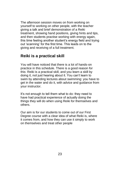The afternoon session moves on from working on yourself to working on other people, with the teacher giving a talk and brief demonstration of a Reiki treatment, showing hand positions, giving hints and tips, and then students practise working with energy again, this time feeling another student's energy field and trying out 'scanning' for the first time. This leads on to the giving and receiving of a full treatment.

#### **Reiki is a practical skill**

You will have noticed that there is a lot of hands-on practice in this schedule. There is a good reason for this: Reiki is a practical skill, and you learn a skill by doing it, not just hearing about it. You can't learn to swim by attending lectures about swimming: you have to get in the water and do it, with advice and guidance from your instructor.

It's not enough to tell them what to do: they need to have had practical experience of actually doing the things they will do when using Reiki for themselves and others.

Our aim is for our students to come out of our First Degree course with a clear idea of what Reiki is, where it comes from, and how they can use it simply to work on themselves and treat other people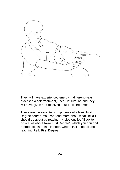

They will have experienced energy in different ways, practised a self-treatment, used Hatsurei ho and they will have given and received a full Reiki treatment.

.

These are the essential components of a Reiki First Degree course. You can read more about what Reiki 1 should be about by reading my blog entitled "Back to basics: all about Reiki First Degree", which you can find reproduced later in this book, when I talk in detail about teaching Reiki First Degree.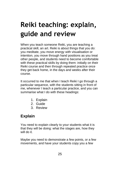# **Reiki teaching: explain, guide and review**

When you teach someone Reiki, you are teaching a practical skill, an art. Reiki is about things that you do: you meditate, you move energy with visualisation or intention, you move through hand positions as you treat other people, and students need to become comfortable with these practical skills by doing them: initially on their Reiki course and then through repeated practice once they get back home, in the days and weeks after their course.

It occurred to me that when I teach Reiki I go through a particular sequence, with the students sitting in front of me, whenever I teach a particular practice, and you can summarise what I do with these headings:

- 1. Explain
- 2. Guide
- 3. Review

### **Explain**

You need to explain clearly to your students what it is that they will be doing: what the stages are, how they will do it.

Maybe you need to demonstrate a few points, or a few movements, and have your students copy you a few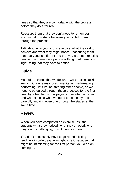times so that they are comfortable with the process, before they do it 'for real'.

Reassure them that they don't need to remember anything at this stage because you will talk them through the process.

Talk about why you do this exercise, what it is said to achieve and what they might notice, reassuring them that everyone is different and that you are not expecting people to experience a particular thing: that there is no 'right' thing that they have to notice.

#### **Guide**

Most of the things that we do when we practise Reiki, we do with our eyes closed: meditating, self-treating, performing Hatsurei ho, treating other people, so we need to be guided through these practices for the first time, by a teacher who is paying close attention to us, and who explains what we need to do clearly and carefully, moving everyone through the stages at the same time.

### **Review**

When you have completed an exercise, ask the students what they noticed, what they enjoyed, what they found challenging, how it went for them.

You don't necessarily have to go round eliciting feedback in order, say from right to left, because that might be intimidating for the first person you keep on coming to.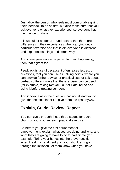Just allow the person who feels most comfortable giving their feedback to do so first, but also make sure that you ask everyone what they experienced, so everyone has the chance to share.

It is useful for students to understand that there are differences in their experiences when carrying out a particular exercise and that is ok: everyone is different and experiences things in different ways.

And if everyone noticed a particular thing happening, then that's great too!

Feedback is useful because it often raises issues, or questions, that you can use as 'talking points' where you can provide further advice, or practical tips, or talk about perhaps different ways that the exercises can be used (for example, taking Kenyoku out of Hatsurei ho and using it before treating someone).

And if no-one asks the question that would lead you to give that helpful hint or tip, give them the tips anyway.

#### **Explain, Guide, Review, Repeat**

You can cycle through these three stages for each chunk of your course: each practical exercise.

So before you give the first attunement or empowerment, explain what you are doing and why, and what they are going to have to do to participate (for example, "bring your hands into the prayer position when I rest my hand gently on your shoulder"), go through the initiation, let them know when you have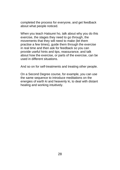completed the process for everyone, and get feedback about what people noticed.

When you teach Hatsurei ho, talk about why you do this exercise, the stages they need to go through, the movements that they will need to make (let them practise a few times), guide them through the exercise in real time and then ask for feedback so you can provide useful hints and tips, reassurance, and talk about how the exercise, or parts of the exercise, can be used in different situations.

And so on for self-treatments and treating other people.

On a Second Degree course, for example, you can use the same sequence to introduce meditations on the energies of earth ki and heavenly ki, to deal with distant healing and working intuitively.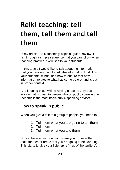# **Reiki teaching: tell them, tell them and tell them**

In my article "Reiki teaching: explain, guide, review" I ran through a simple sequence that you can follow when teaching practical exercises to your students.

In this article I would like to talk about the information that you pass on, how to help the information to stick in your students' minds, and how to ensure that new information relates to what has come before, and is put in proper context.

And in doing this, I will be relying on some very basic advice that is given to people who do public speaking. In fact, this is the most basic public speaking advice!

### **How to speak in public**

When you give a talk to a group of people, you need to:

- 1. Tell them what you are going to tell them
- 2. Tell them
- 3. Tell them what you told them

So you have an introduction where you run over the main themes or areas that you are going to be covering. This starts to give your listeners a 'map of the territory',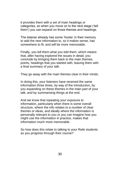it provides them with a set of main headings or categories, so when you move on to the next stage ('tell them') you can expand on those themes and headings.

The listener already has some 'hooks' in their memory to add the new information to, so it makes sense, has somewhere to fit, and will be more memorable.

Finally, you tell them what you told them, which means that, after having explored the issues in detail, you conclude by bringing them back to the main themes, points, headings that you started with, leaving them with a final summary of your talk.

They go away with the main themes clear in their minds.

In doing this, your listeners have received the same information three times, by way of the introduction, by you expanding on these themes in the main part of your talk, and by summarising things at the end.

And we know that repeating your exposure to information, particularly when there is some overall structure, where the info relates to a number of clear themes or ideas, and ideally where the information is personally relevant to you or you can imagine how you might use the information in practice, makes that information much more memorable.

So how does this relate to talking to your Reiki students as you progress through their course?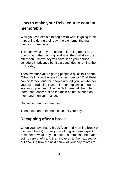#### **How to make your Reiki course content memorable**

Well, you can explain to begin with what is going to be happening during their day, the big items, the main themes or headings.

Tell them what they are going to learning about and practising in the morning, and what they will do in the afternoon. I know they will have seen your course schedule in advance but it's a good idea to remind them on the day.

Then, whether you're giving people a quick talk about 'What Reiki is and where it comes from' or 'What Reiki can do for you and the people around you', or whether you are introducing Hatsurei ho or explaining about scanning, you can follow the "tell them, tell them, tell them" sequence: outline the main points, expand on them and then summarise.

Outline, expand, summarise.

Then move on to the next chunk of your day.

#### **Recapping after a break**

When you have had a break (your mid-morning break or the lunch break) it is very useful to give them a quick reminder of what they did earlier, summarise the main points very briefly and then move on to the next section, but showing how the next chunk of your day relates to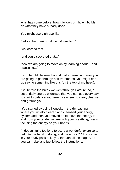what has come before: how it follows on, how it builds on what they have already done.

You might use a phrase like:

"before the break what we did was to…"

"we learned that…."

"and you discovered that…"

"now we are going to move on by learning about… and practising…"

If you taught Hatsurei ho and had a break, and now you are going to go through self-treatments, you might end up saying something like this (off the top of my head):

"So, before the break we went through Hatsurei ho, a set of daily energy exercises that you can use every day to start to balance your energy system: to clear, cleanse and ground you.

"You started by using Kenyoku – the dry bathing – where you ritually cleared and cleansed your energy system and then you moved on to move the energy to and from your tanden in time with your breathing, finally focusing the energy on your hands.

"It doesn't take too long to do, is a wonderful exercise to get into the habit of doing, and the audio CD that came in your study pack talks you through all the stages, so you can relax and just follow the instructions.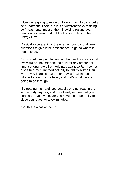"Now we're going to move on to learn how to carry out a self-treatment. There are lots of different ways of doing self-treatments, most of them involving resting your hands on different parts of the body and letting the energy flow.

"Basically you are firing the energy from lots of different directions to give it the best chance to get to where it needs to go.

"But sometimes people can find the hand positions a bit awkward or uncomfortable to hold for any amount of time, so fortunately from original Japanese Reiki comes a self-treatment method actually taught by Mikao Usui, where you imagine that the energy is focusing on different areas of your head, and that's what we are going to go through.

"By treating the head, you actually end up treating the whole body anyway, and it's a lovely routine that you can go through whenever you have the opportunity to close your eyes for a few minutes.

"So, this is what we do…"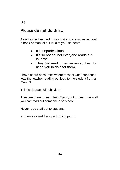PS.

#### **Please do not do this…**

As an aside I wanted to say that you should never read a book or manual out loud to your students.

- It is unprofessional.
- It's so boring: not everyone reads out loud well.
- They can read it themselves so they don't need you to do it for them.

I have heard of courses where most of what happened was the teacher reading out loud to the student from a manual.

This is disgraceful behaviour!

They are there to learn from \*you\*, not to hear how well you can read out someone else's book.

Never read stuff out to students.

You may as well be a performing parrot.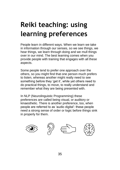## **Reiki teaching: using learning preferences**

People learn in different ways. When we learn we take in information through our senses, so we see things, we hear things, we learn through doing and we mull things over in our mind. The best learning comes when you provide people with training that engages with all these aspects.

Some people tend to prefer one approach over the others, so you might find that one person much prefers to listen, whereas another might really need to see something before they 'get it', while yet others need to do practical things, to move, to really understand and remember what they are being presented with.

In NLP (Neurolinguistic Programming) these preferences are called being visual, or auditory or kinaesthetic. There is another preference, too, when people are referred to as 'audio digital': these people need a strong sense of order or logic before things sink in properly for them.







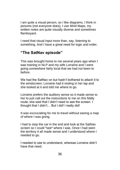I am quite a visual person, so I like diagrams, I think in pictures (not everyone does), I use Mind Maps, my written notes are quite visually diverse and sometimes flamboyant.

I need that visual input more than, say, listening to something. And I have a great need for logic and order.

#### **"The SatNav episode"**

This was brought home to me several years ago when I was training in NLP and my wife Lorraine and I were going somewhere fairly local that we had not been to before.

We had the SatNav on but hadn't bothered to attach it to the windscreen; Lorraine had it resting in her lap and she looked at it and told me where to go.

Lorraine prefers the auditory sense so it made sense to her to just call out the instructions to me on this fiddly route; she said that I didn't need to see the screen. I thought that I didn't… But I did! I really did!

It was excruciating for me to travel without seeing a map of where I was going.

I had to stop the car in the end and look at the SatNav screen so I could \*see\* where I was. Once I had seen the territory it all made sense and I understood where I needed to go.

I needed to see to understand, whereas Lorraine didn't have that need.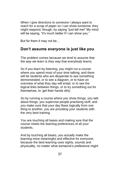When I give directions to someone I always want to reach for a scrap of paper so I can show someone; they might respond, though, by saying "just tell me!" My mind will be saying, "it's much better if I can show you."

But for them it may not be…

#### **Don't assume everyone is just like you**

The problem comes because we tend to assume that the way we learn is they way that everybody learns.

So if you learn by listening, you might run a course where you spend most of your time talking, and there will be students who are desperate to see something demonstrated, or to see a diagram, or to have an overview of what they day will entail, or to see the logical links between things, or to try something out for themselves, to 'get their hands dirty'.

So by running a course where you show things, you talk about things, you supervise people practising stuff, and you make sure that your day flows logically from one thing to another, you are providing your students with the very best training.

You are touching all bases and making sure that the course meets the learning preferences of all your students.

And by touching all bases, you actually make the learning more meaningful and effective for everyone, because the best learning uses sights, sounds and physicality, no matter what someone's preference might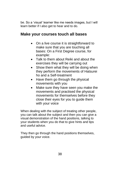be. So a 'visual' learner like me needs images, but I will learn better if I also get to hear and to do.

#### **Make your courses touch all bases**

- On a live course it is straightforward to make sure that you are touching all bases: On a First Degree course, for example:
- Talk to them about Reiki and about the exercises they will be carrying out
- Show them what they will be doing when they perform the movements of Hatsurei ho and a Self-treatment
- Have them go through the physical movements with you
- Make sure they have seen you make the movements and practised the physical movements for themselves before they close their eyes for you to guide them with your voice

When dealing with the subject of treating other people, you can talk about the subject and then you can give a visual demonstration of the hand positions, talking to your students when you do that to give hints and tips and useful advice.

They then go through the hand positions themselves, guided by your voice.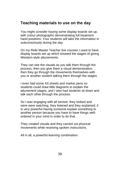#### **Teaching materials to use on the day**

You might consider having some display boards set up, with colour photographs demonstrating full treatment hand positions. Your students will take the information in subconsciously during the day.

On my Reiki Master Teacher live courses I used to have display boards set up which showed the stages of giving Western-style attunements.

They can see the visuals as you talk them through the process, then you give them a visual demonstration, then they go through the movements themselves with you or another student talking them through the stages.

I even had some A3 sheets and marker pens so students could draw little diagrams to explain the attunement stages, and I also had students sit down and talk each other through the process.

So I was engaging with all senses: they looked and were were watching, they listened and they explained; it is very powerful having someone explain something to another person because you have to have things wellordered in your mind in order to do that.

They created visuals and they carried out physical movements while receiving spoken instructions.

All in all, a powerful learning combination.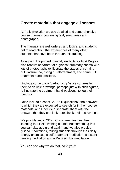#### **Create materials that engage all senses**

At Reiki Evolution we use detailed and comprehensive course manuals containing text, summaries and photographs.

The manuals are well ordered and logical and students get to read about the experiences of many other students that have been through this training.

Along with the printed manual, students for First Degree also receive separate "at a glance" summary sheets with lots of photographs to illustrate the stages of carrying out Hatsurei ho, giving a Self-treatment, and some Full treatment hand positions.

I include some blank 'cartoon strip'-style squares for them to do little drawings, perhaps just with stick figures, to illustrate the treatment hand positions, to jog their memory.

I also include a set of "20 Reiki questions", the answers to which they are expected to search for in their course materials, and I include a separate sheet with the answers that they can look at to check their discoveries.

We provide audio CDs with commentary (just like listening to a Reiki training course, but something that you can play again and again) and we also provide guided meditations, talking students through their daily energy exercises, a self-treatment meditation, a distant healing meditation and a Reiki symbol meditation.

You can see why we do that, can't you?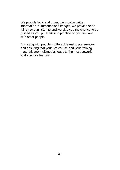We provide logic and order, we provide written information, summaries and images, we provide short talks you can listen to and we give you the chance to be guided as you put Reiki into practice on yourself and with other people.

Engaging with people's different learning preferences, and ensuring that your live course and your training materials are multimedia, leads to the most powerful and effective learning.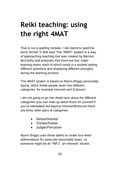# **Reiki teaching: using the right 4MAT**

That is not a spelling mistake: I did intend to spell the word 'format' in that way! The "4MAT" system is a way of approaching teaching that was created by Bernice McCarthy and proposes that there are four major learning styles, each of which result in a student asking different questions and displaying different strengths during the learning process.

The 4MAT system is based on Myers-Briggs personality typing, which break people down into different categories, for example Introvert and Extrovert.

I am not going to go into detail here about the different categories (you can read up about those for yourself if you're interested) but beyond Introvert/Extrovert there are three other pairs of categories:

- Sensor/Intuitor
- Thinker/Feeler
- Judger/Perceiver

Myers Briggs uses these labels to create four-letter abbreviations for particular personality types, so someone might be an "INFJ", an Introvert, Intuitor,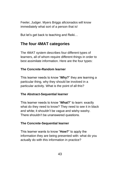Feeler, Judger. Myers Briggs aficionados will know immediately what sort of a person that is!

But let's get back to teaching and Reiki…

### **The four 4MAT categories**

The 4MAT system describes four different types of learners, all of whom require different things in order to best assimilate information. Here are the four types:

#### **The Concrete-Random learner**

This learner needs to know "**Why?**" they are learning a particular thing, why they should be involved in a particular activity. What is the point of all this?

#### **The Abstract-Sequential learner**

This learner needs to know "**What?**" to learn: exactly what do they need to know? They need to see it in black and white; it shouldn't be vague and wishy-washy. There shouldn't be unanswered questions.

#### **The Concrete-Sequential learner**

This learner wants to know "**How?**" to apply the information they are being presented with: what do you actually do with this information in practice?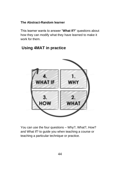#### **The Abstract-Random learner**

This learner wants to answer "**What If?**" questions about how they can modify what they have learned to make it work for them.

### **Using 4MAT in practice**



You can use the four questions – Why?, What?, How? and What If? to guide you when teaching a course or teaching a particular technique or practice.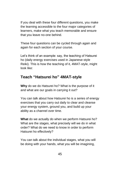If you deal with these four different questions, you make the learning accessible to the four major categories of learners, make what you teach memorable and ensure that you leave no-one behind.

These four questions can be cycled through again and again for each section of your course.

Let's think of an example: say, the teaching of Hatsurei ho (daily energy exercises used in Japanese-style Reiki). This is how the teaching of it, 4MAT-style, might look like:

### **Teach "Hatsurei ho" 4MAT-style**

**Why** do we do Hatsurei ho? What is the purpose of it and what are our goals in carrying it out?

You can talk about how Hatsurei ho is a series of energy exercises that you carry out daily to clear and cleanse your energy system, ground you, and build up your ability as a channel over time.

**What** do we actually do when we perform Hatsurei ho? What are the stages, what precisely will we do in what order? What do we need to know in order to perform Hatsurei ho effectively?

You can talk about the individual stages, what you will be doing with your hands, what you will be imagining,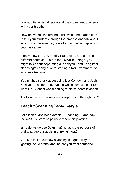how you tie in visualisation and the movement of energy with your breath.

**How** do we do Hatsurei ho? This would be a good time to talk your students through the process and talk about when to do Hatsurei ho, how often, and what happens if you miss a day.

Finally, how can you modify Hatsurei ho and use it in different contexts? This is the "**What If**?" stage: you might talk about separating out Kenyoku and using it for cleansing/clearing prior to starting a Reiki treatment, or in other situations.

You might also talk about using just Kenyoku and Joshin Kokkyu ho, a shorter sequence which comes closer to what Usui Sensei was teaching to his students in Japan.

That's not a bad sequence to keep cycling through, is it?

#### **Teach "Scanning" 4MAT-style**

Let's look at another example - "Scanning", - and how the 4MAT system helps us to teach this practice:

**Why** do we do use Scanning? What is the purpose of it and what are our goals in carrying it out?

You can talk about how scanning is a good way of 'getting the lie of the land' before you treat someone,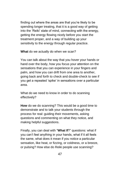finding out where the areas are that you're likely to be spending longer treating, that it is a good way of getting into the 'Reiki' state of mind, connecting with the energy, getting the energy flowing nicely before you start the treatment proper, and a way of building up your sensitivity to the energy through regular practice.

**What** do we actually do when we scan?

You can talk about the way that you hover your hands or hand over the body, how you focus your attention on the sensations that you can experience in your fingers and palm, and how you can drift from one area to another, going back and forth to check and double-check to see if you get a repeated 'spike' in sensations over a particular area.

What do we need to know in order to do scanning effectively?

**How** do we do scanning? This would be a good time to demonstrate and to talk your students through the process for real: guiding their movements, asking questions and commenting on what they notice, and making helpful suggestions.

Finally, you can deal with "**What If**?" questions: what if you can't feel anything in your hands, what if it all feels the same, what does it mean if you notice a particular sensation, like heat, or fizzing, or coldness, or a breeze, or pulsing? How else do Reiki people use scanning?